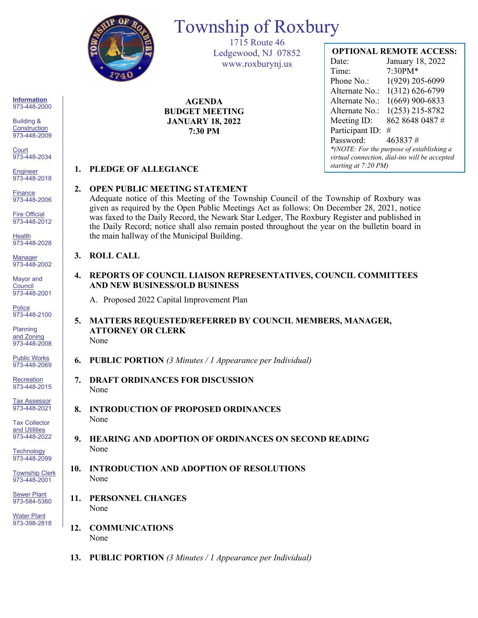

# Township of Roxbury

1715 Route 46 Ledgewood, NJ 07852 www.roxburynj.us

**AGENDA BUDGET MEETING JANUARY 18, 2022 7:30 PM**

## **OPTIONAL REMOTE ACCESS:**

Date: January 18, 2022 Time: 7:30PM\* Phone No.: 1(929) 205-6099 Alternate No.: 1(312) 626-6799 Alternate No.: 1(669) 900-6833 Alternate No.: 1(253) 215-8782 Meeting ID: 862 8648 0487 # Participant ID: # Password: 463837 # *\*(NOTE: For the purpose of establishing a virtual connection, dial-ins will be accepted starting at 7:20 PM)*

### **1. PLEDGE OF ALLEGIANCE**

### **2. OPEN PUBLIC MEETING STATEMENT**

Adequate notice of this Meeting of the Township Council of the Township of Roxbury was given as required by the Open Public Meetings Act as follows: On December 28, 2021, notice was faxed to the Daily Record, the Newark Star Ledger, The Roxbury Register and published in the Daily Record; notice shall also remain posted throughout the year on the bulletin board in the main hallway of the Municipal Building.

#### **3. ROLL CALL**

**4. REPORTS OF COUNCIL LIAISON REPRESENTATIVES, COUNCIL COMMITTEES AND NEW BUSINESS/OLD BUSINESS**

A. Proposed 2022 Capital Improvement Plan

- **5. MATTERS REQUESTED/REFERRED BY COUNCIL MEMBERS, MANAGER, ATTORNEY OR CLERK** None
- **6. PUBLIC PORTION** *(3 Minutes / 1 Appearance per Individual)*
- **7. DRAFT ORDINANCES FOR DISCUSSION** None
- **8. INTRODUCTION OF PROPOSED ORDINANCES** None
- **9. HEARING AND ADOPTION OF ORDINANCES ON SECOND READING** None
- **10. INTRODUCTION AND ADOPTION OF RESOLUTIONS** None
- **11. PERSONNEL CHANGES** None
- **12. COMMUNICATIONS** None
- **13. PUBLIC PORTION** *(3 Minutes / 1 Appearance per Individual)*

**Information** 973-448-2000

Building & **Construction** 973-448-2009

**Court** 973-448-2034

**Engineer** 973-448-2018

**Finance** 973-448-2006

Fire Official 973-448-2012

**Health** 973-448-2028

Manager 973-448-2002

Mayor and **Council** 973-448-2001

**Police** 973-448-2100

Planning and Zoning 973-448-2008

Public Works 973-448-2069

**Recreation** 973-448-2015

Tax Assessor 973-448-2021

Tax Collector and Utilities 973-448-2022

**Technology** 973-448-2099

Township Clerk 973-448-2001

**Sewer Plant** 973-584-5360

Water Plant 973-398-2818